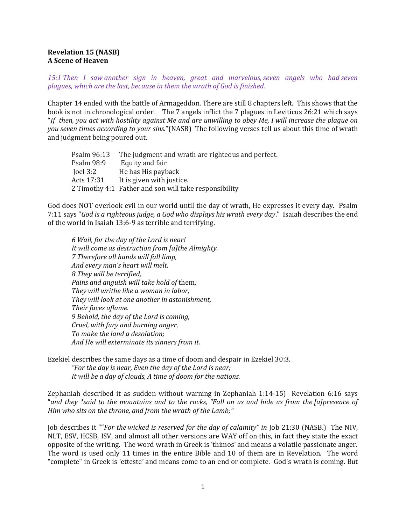## Revelation 15 (NASB) A Scene of Heaven

15:1 Then I saw another sign in heaven, great and marvelous, seven angels who had seven plagues, which are the last, because in them the wrath of God is finished.

Chapter 14 ended with the battle of Armageddon. There are still 8 chapters left. This shows that the book is not in chronological order. The 7 angels inflict the 7 plagues in Leviticus 26:21 which says "If then, you act with hostility against Me and are unwilling to obey Me, I will increase the plague on you seven times according to your sins."(NASB) The following verses tell us about this time of wrath and judgment being poured out.

| Psalm 96:13 | The judgment and wrath are righteous and perfect.     |
|-------------|-------------------------------------------------------|
| Psalm 98:9  | Equity and fair                                       |
| Joel $3:2$  | He has His payback                                    |
| Acts 17:31  | It is given with justice.                             |
|             | 2 Timothy 4:1 Father and son will take responsibility |

God does NOT overlook evil in our world until the day of wrath, He expresses it every day. Psalm 7:11 says "God is a righteous judge, a God who displays his wrath every day." Isaiah describes the end of the world in Isaiah 13:6-9 as terrible and terrifying.

6 Wail, for the day of the Lord is near! It will come as destruction from [a]the Almighty. 7 Therefore all hands will fall limp, And every man's heart will melt. 8 They will be terrified, Pains and anguish will take hold of them; They will writhe like a woman in labor, They will look at one another in astonishment, Their faces aflame. 9 Behold, the day of the Lord is coming, Cruel, with fury and burning anger, To make the land a desolation; And He will exterminate its sinners from it.

Ezekiel describes the same days as a time of doom and despair in Ezekiel 30:3. "For the day is near, Even the day of the Lord is near; It will be a day of clouds, A time of doom for the nations.

Zephaniah described it as sudden without warning in Zephaniah 1:14-15) Revelation 6:16 says "and they \*said to the mountains and to the rocks, "Fall on us and hide us from the [a]presence of Him who sits on the throne, and from the wrath of the Lamb;"

Job describes it ""For the wicked is reserved for the day of calamity" in Job 21:30 (NASB.) The NIV, NLT, ESV, HCSB, ISV, and almost all other versions are WAY off on this, in fact they state the exact opposite of the writing. The word wrath in Greek is 'thimos' and means a volatile passionate anger. The word is used only 11 times in the entire Bible and 10 of them are in Revelation. The word "complete" in Greek is 'etteste' and means come to an end or complete. God's wrath is coming. But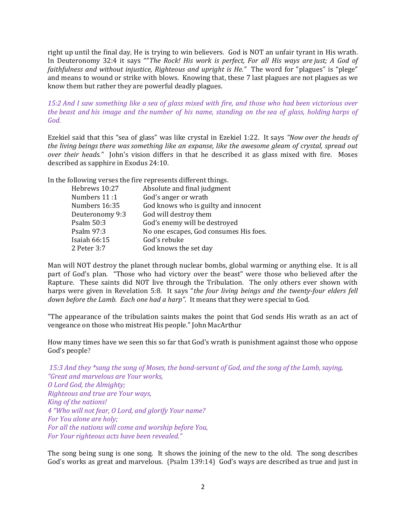right up until the final day, He is trying to win believers. God is NOT an unfair tyrant in His wrath. In Deuteronomy 32:4 it says ""The Rock! His work is perfect, For all His ways are just; A God of faithfulness and without injustice, Righteous and upright is He." The word for "plagues" is "plege" and means to wound or strike with blows. Knowing that, these 7 last plagues are not plagues as we know them but rather they are powerful deadly plagues.

15:2 And I saw something like a sea of glass mixed with fire, and those who had been victorious over the beast and his image and the number of his name, standing on the sea of glass, holding harps of God.

Ezekiel said that this "sea of glass" was like crystal in Ezekiel 1:22. It says "Now over the heads of the living beings there was something like an expanse, like the awesome gleam of crystal, spread out over their heads." John's vision differs in that he described it as glass mixed with fire. Moses described as sapphire in Exodus 24:10.

In the following verses the fire represents different things.

| Hebrews 10:27   | Absolute and final judgment            |
|-----------------|----------------------------------------|
| Numbers 11:1    | God's anger or wrath                   |
| Numbers 16:35   | God knows who is guilty and innocent   |
| Deuteronomy 9:3 | God will destroy them                  |
| Psalm 50:3      | God's enemy will be destroyed          |
| Psalm 97:3      | No one escapes, God consumes His foes. |
| Isaiah 66:15    | God's rebuke                           |
| 2 Peter 3:7     | God knows the set day                  |

Man will NOT destroy the planet through nuclear bombs, global warming or anything else. It is all part of God's plan. "Those who had victory over the beast" were those who believed after the Rapture. These saints did NOT live through the Tribulation. The only others ever shown with harps were given in Revelation 5:8. It says "the four living beings and the twenty-four elders fell down before the Lamb. Each one had a harp". It means that they were special to God.

"The appearance of the tribulation saints makes the point that God sends His wrath as an act of vengeance on those who mistreat His people." John MacArthur

How many times have we seen this so far that God's wrath is punishment against those who oppose God's people?

 15:3 And they \*sang the song of Moses, the bond-servant of God, and the song of the Lamb, saying, "Great and marvelous are Your works, O Lord God, the Almighty; Righteous and true are Your ways, King of the nations! 4 "Who will not fear, O Lord, and glorify Your name? For You alone are holy; For all the nations will come and worship before You, For Your righteous acts have been revealed."

The song being sung is one song. It shows the joining of the new to the old. The song describes God's works as great and marvelous. (Psalm 139:14) God's ways are described as true and just in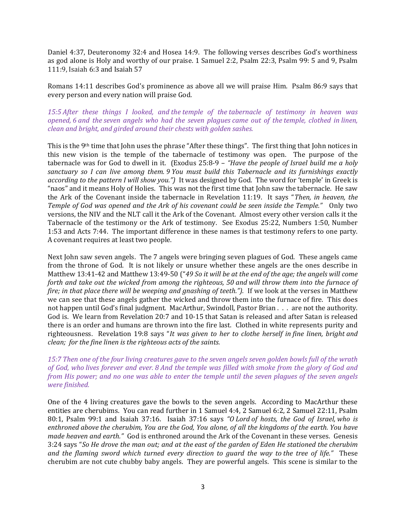Daniel 4:37, Deuteronomy 32:4 and Hosea 14:9. The following verses describes God's worthiness as god alone is Holy and worthy of our praise. 1 Samuel 2:2, Psalm 22:3, Psalm 99: 5 and 9, Psalm 111:9, Isaiah 6:3 and Isaiah 57

Romans 14:11 describes God's prominence as above all we will praise Him. Psalm 86:9 says that every person and every nation will praise God.

15:5 After these things I looked, and the temple of the tabernacle of testimony in heaven was opened, 6 and the seven angels who had the seven plagues came out of the temple, clothed in linen, clean and bright, and girded around their chests with golden sashes.

This is the 9th time that John uses the phrase "After these things". The first thing that John notices in this new vision is the temple of the tabernacle of testimony was open. The purpose of the tabernacle was for God to dwell in it. (Exodus 25:8-9 – "Have the people of Israel build me a holy sanctuary so I can live among them. 9 You must build this Tabernacle and its furnishings exactly according to the pattern I will show you.") It was designed by God. The word for 'temple' in Greek is "naos" and it means Holy of Holies. This was not the first time that John saw the tabernacle. He saw the Ark of the Covenant inside the tabernacle in Revelation 11:19. It says "Then, in heaven, the Temple of God was opened and the Ark of his covenant could be seen inside the Temple." Only two versions, the NIV and the NLT call it the Ark of the Covenant. Almost every other version calls it the Tabernacle of the testimony or the Ark of testimony. See Exodus 25:22, Numbers 1:50, Number 1:53 and Acts 7:44. The important difference in these names is that testimony refers to one party. A covenant requires at least two people.

Next John saw seven angels. The 7 angels were bringing seven plagues of God. These angels came from the throne of God. It is not likely or unsure whether these angels are the ones describe in Matthew 13:41-42 and Matthew 13:49-50 ("49 So it will be at the end of the age; the angels will come forth and take out the wicked from among the righteous, 50 and will throw them into the furnace of fire; in that place there will be weeping and gnashing of teeth."). If we look at the verses in Matthew we can see that these angels gather the wicked and throw them into the furnace of fire. This does not happen until God's final judgment. MacArthur, Swindoll, Pastor Brian . . . are not the authority. God is. We learn from Revelation 20:7 and 10-15 that Satan is released and after Satan is released there is an order and humans are thrown into the fire last. Clothed in white represents purity and righteousness. Revelation 19:8 says "It was given to her to clothe herself in fine linen, bright and clean; for the fine linen is the righteous acts of the saints.

15:7 Then one of the four living creatures gave to the seven angels seven golden bowls full of the wrath of God, who lives forever and ever. 8 And the temple was filled with smoke from the glory of God and from His power; and no one was able to enter the temple until the seven plagues of the seven angels were finished.

One of the 4 living creatures gave the bowls to the seven angels. According to MacArthur these entities are cherubims. You can read further in 1 Samuel 4:4, 2 Samuel 6:2, 2 Samuel 22:11, Psalm 80:1, Psalm 99:1 and Isaiah 37:16. Isaiah 37:16 says "O Lord of hosts, the God of Israel, who is enthroned above the cherubim, You are the God, You alone, of all the kingdoms of the earth. You have made heaven and earth." God is enthroned around the Ark of the Covenant in these verses. Genesis 3:24 says "So He drove the man out; and at the east of the garden of Eden He stationed the cherubim and the flaming sword which turned every direction to guard the way to the tree of life." These cherubim are not cute chubby baby angels. They are powerful angels. This scene is similar to the